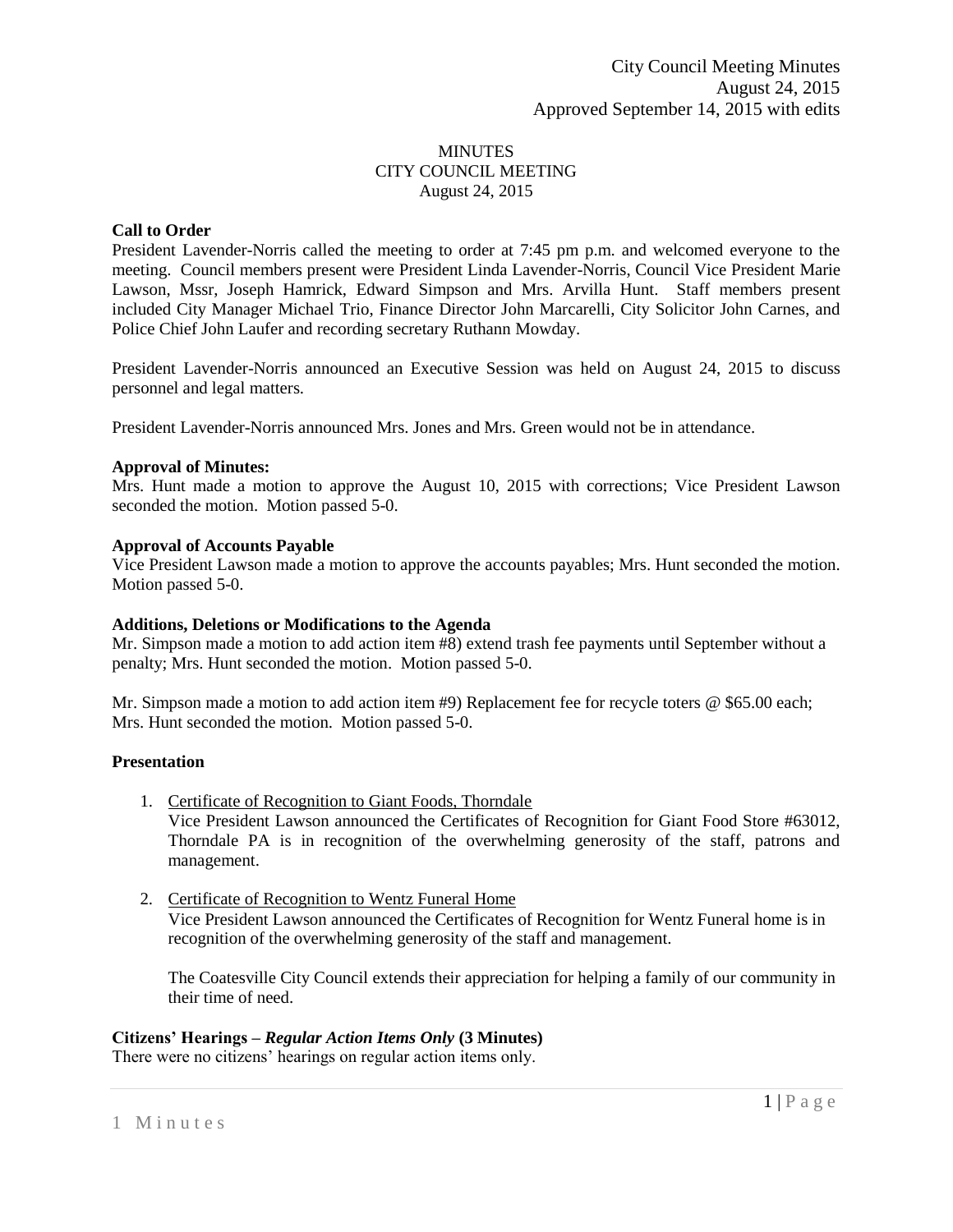## **MINUTES** CITY COUNCIL MEETING August 24, 2015

# **Call to Order**

President Lavender-Norris called the meeting to order at 7:45 pm p.m. and welcomed everyone to the meeting. Council members present were President Linda Lavender-Norris, Council Vice President Marie Lawson, Mssr, Joseph Hamrick, Edward Simpson and Mrs. Arvilla Hunt. Staff members present included City Manager Michael Trio, Finance Director John Marcarelli, City Solicitor John Carnes, and Police Chief John Laufer and recording secretary Ruthann Mowday.

President Lavender-Norris announced an Executive Session was held on August 24, 2015 to discuss personnel and legal matters.

President Lavender-Norris announced Mrs. Jones and Mrs. Green would not be in attendance.

## **Approval of Minutes:**

Mrs. Hunt made a motion to approve the August 10, 2015 with corrections; Vice President Lawson seconded the motion. Motion passed 5-0.

# **Approval of Accounts Payable**

Vice President Lawson made a motion to approve the accounts payables; Mrs. Hunt seconded the motion. Motion passed 5-0.

## **Additions, Deletions or Modifications to the Agenda**

Mr. Simpson made a motion to add action item #8) extend trash fee payments until September without a penalty; Mrs. Hunt seconded the motion. Motion passed 5-0.

Mr. Simpson made a motion to add action item #9) Replacement fee for recycle toters @ \$65.00 each; Mrs. Hunt seconded the motion. Motion passed 5-0.

# **Presentation**

- 1. Certificate of Recognition to Giant Foods, Thorndale Vice President Lawson announced the Certificates of Recognition for Giant Food Store #63012,
	- Thorndale PA is in recognition of the overwhelming generosity of the staff, patrons and management.
- 2. Certificate of Recognition to Wentz Funeral Home Vice President Lawson announced the Certificates of Recognition for Wentz Funeral home is in recognition of the overwhelming generosity of the staff and management.

The Coatesville City Council extends their appreciation for helping a family of our community in their time of need.

# **Citizens' Hearings –** *Regular Action Items Only* **(3 Minutes)**

There were no citizens' hearings on regular action items only.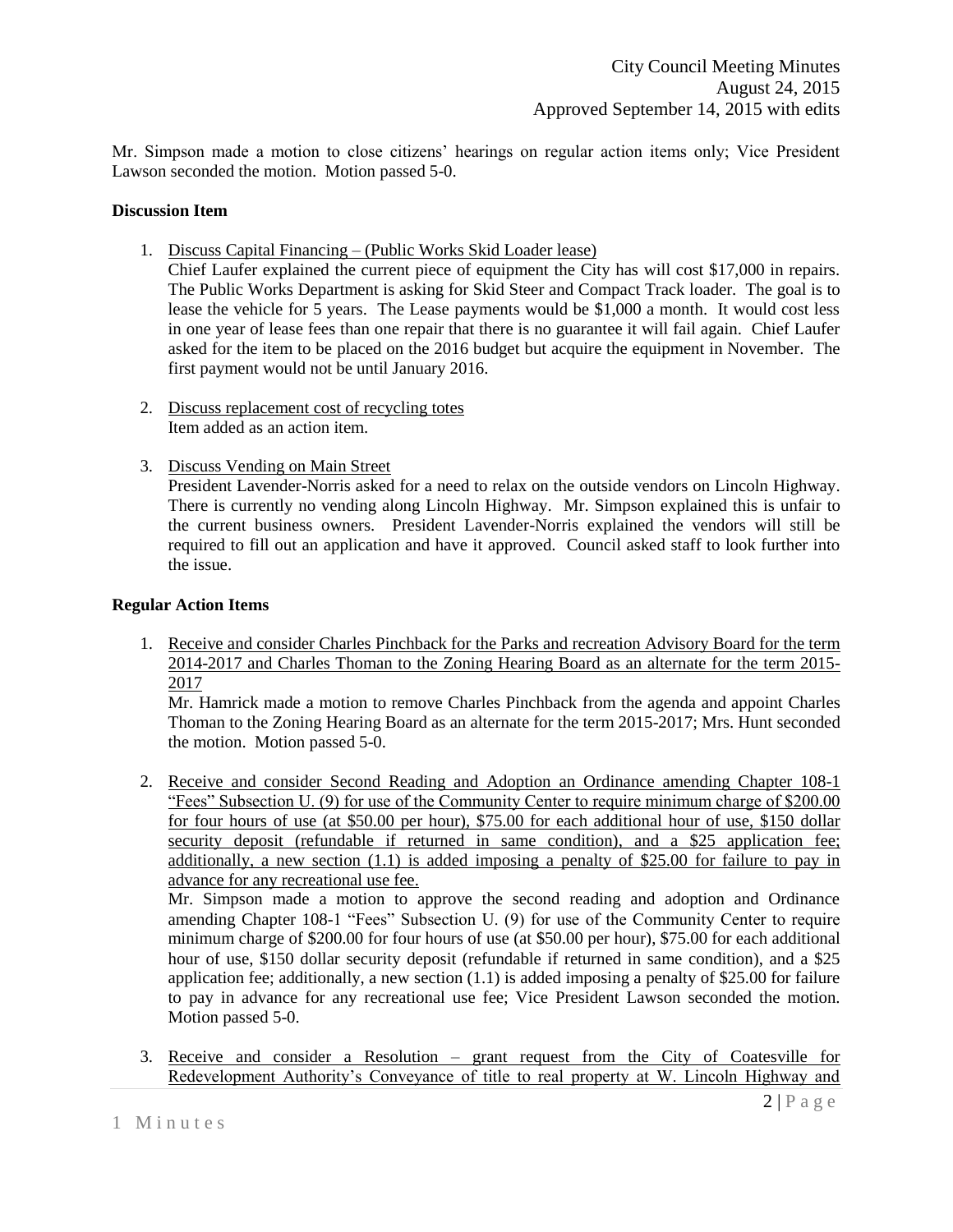Mr. Simpson made a motion to close citizens' hearings on regular action items only; Vice President Lawson seconded the motion. Motion passed 5-0.

## **Discussion Item**

1. Discuss Capital Financing – (Public Works Skid Loader lease)

Chief Laufer explained the current piece of equipment the City has will cost \$17,000 in repairs. The Public Works Department is asking for Skid Steer and Compact Track loader. The goal is to lease the vehicle for 5 years. The Lease payments would be \$1,000 a month. It would cost less in one year of lease fees than one repair that there is no guarantee it will fail again. Chief Laufer asked for the item to be placed on the 2016 budget but acquire the equipment in November. The first payment would not be until January 2016.

- 2. Discuss replacement cost of recycling totes Item added as an action item.
- 3. Discuss Vending on Main Street

President Lavender-Norris asked for a need to relax on the outside vendors on Lincoln Highway. There is currently no vending along Lincoln Highway. Mr. Simpson explained this is unfair to the current business owners. President Lavender-Norris explained the vendors will still be required to fill out an application and have it approved. Council asked staff to look further into the issue.

# **Regular Action Items**

1. Receive and consider Charles Pinchback for the Parks and recreation Advisory Board for the term 2014-2017 and Charles Thoman to the Zoning Hearing Board as an alternate for the term 2015- 2017

Mr. Hamrick made a motion to remove Charles Pinchback from the agenda and appoint Charles Thoman to the Zoning Hearing Board as an alternate for the term 2015-2017; Mrs. Hunt seconded the motion. Motion passed 5-0.

2. Receive and consider Second Reading and Adoption an Ordinance amending Chapter 108-1 "Fees" Subsection U. (9) for use of the Community Center to require minimum charge of \$200.00 for four hours of use (at \$50.00 per hour), \$75.00 for each additional hour of use, \$150 dollar security deposit (refundable if returned in same condition), and a \$25 application fee; additionally, a new section  $(1.1)$  is added imposing a penalty of \$25.00 for failure to pay in advance for any recreational use fee.

Mr. Simpson made a motion to approve the second reading and adoption and Ordinance amending Chapter 108-1 "Fees" Subsection U. (9) for use of the Community Center to require minimum charge of \$200.00 for four hours of use (at \$50.00 per hour), \$75.00 for each additional hour of use, \$150 dollar security deposit (refundable if returned in same condition), and a \$25 application fee; additionally, a new section (1.1) is added imposing a penalty of \$25.00 for failure to pay in advance for any recreational use fee; Vice President Lawson seconded the motion. Motion passed 5-0.

3. Receive and consider a Resolution – grant request from the City of Coatesville for Redevelopment Authority's Conveyance of title to real property at W. Lincoln Highway and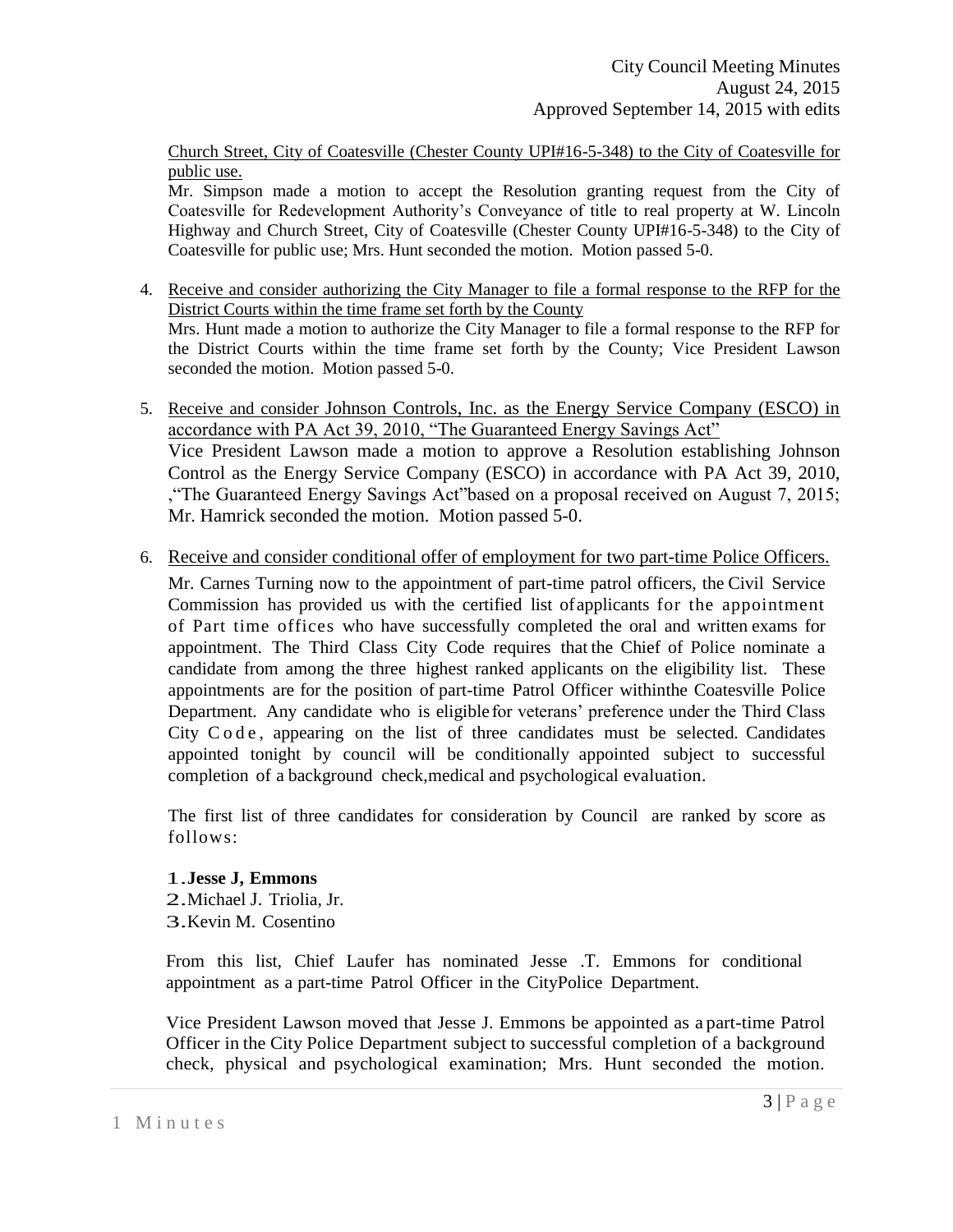Church Street, City of Coatesville (Chester County UPI#16-5-348) to the City of Coatesville for public use.

Mr. Simpson made a motion to accept the Resolution granting request from the City of Coatesville for Redevelopment Authority's Conveyance of title to real property at W. Lincoln Highway and Church Street, City of Coatesville (Chester County UPI#16-5-348) to the City of Coatesville for public use; Mrs. Hunt seconded the motion. Motion passed 5-0.

- 4. Receive and consider authorizing the City Manager to file a formal response to the RFP for the District Courts within the time frame set forth by the County Mrs. Hunt made a motion to authorize the City Manager to file a formal response to the RFP for the District Courts within the time frame set forth by the County; Vice President Lawson seconded the motion. Motion passed 5-0.
- 5. Receive and consider Johnson Controls, Inc. as the Energy Service Company (ESCO) in accordance with PA Act 39, 2010, "The Guaranteed Energy Savings Act" Vice President Lawson made a motion to approve a Resolution establishing Johnson Control as the Energy Service Company (ESCO) in accordance with PA Act 39, 2010, ,"The Guaranteed Energy Savings Act"based on a proposal received on August 7, 2015; Mr. Hamrick seconded the motion. Motion passed 5-0.
- 6. Receive and consider conditional offer of employment for two part-time Police Officers.

Mr. Carnes Turning now to the appointment of part-time patrol officers, the Civil Service Commission has provided us with the certified list ofapplicants for the appointment of Part time offices who have successfully completed the oral and written exams for appointment. The Third Class City Code requires that the Chief of Police nominate a candidate from among the three highest ranked applicants on the eligibility list. These appointments are for the position of part-time Patrol Officer withinthe Coatesville Police Department. Any candidate who is eligible for veterans' preference under the Third Class City Code , appearing on the list of three candidates must be selected. Candidates appointed tonight by council will be conditionally appointed subject to successful completion of a background check,medical and psychological evaluation.

The first list of three candidates for consideration by Council are ranked by score as follows:

# 1.**Jesse J, Emmons**

- 2.Michael J. Triolia, Jr.
- 3.Kevin M. Cosentino

From this list, Chief Laufer has nominated Jesse .T. Emmons for conditional appointment as a part-time Patrol Officer in the CityPolice Department.

Vice President Lawson moved that Jesse J. Emmons be appointed as a part-time Patrol Officer in the City Police Department subject to successful completion of a background check, physical and psychological examination; Mrs. Hunt seconded the motion.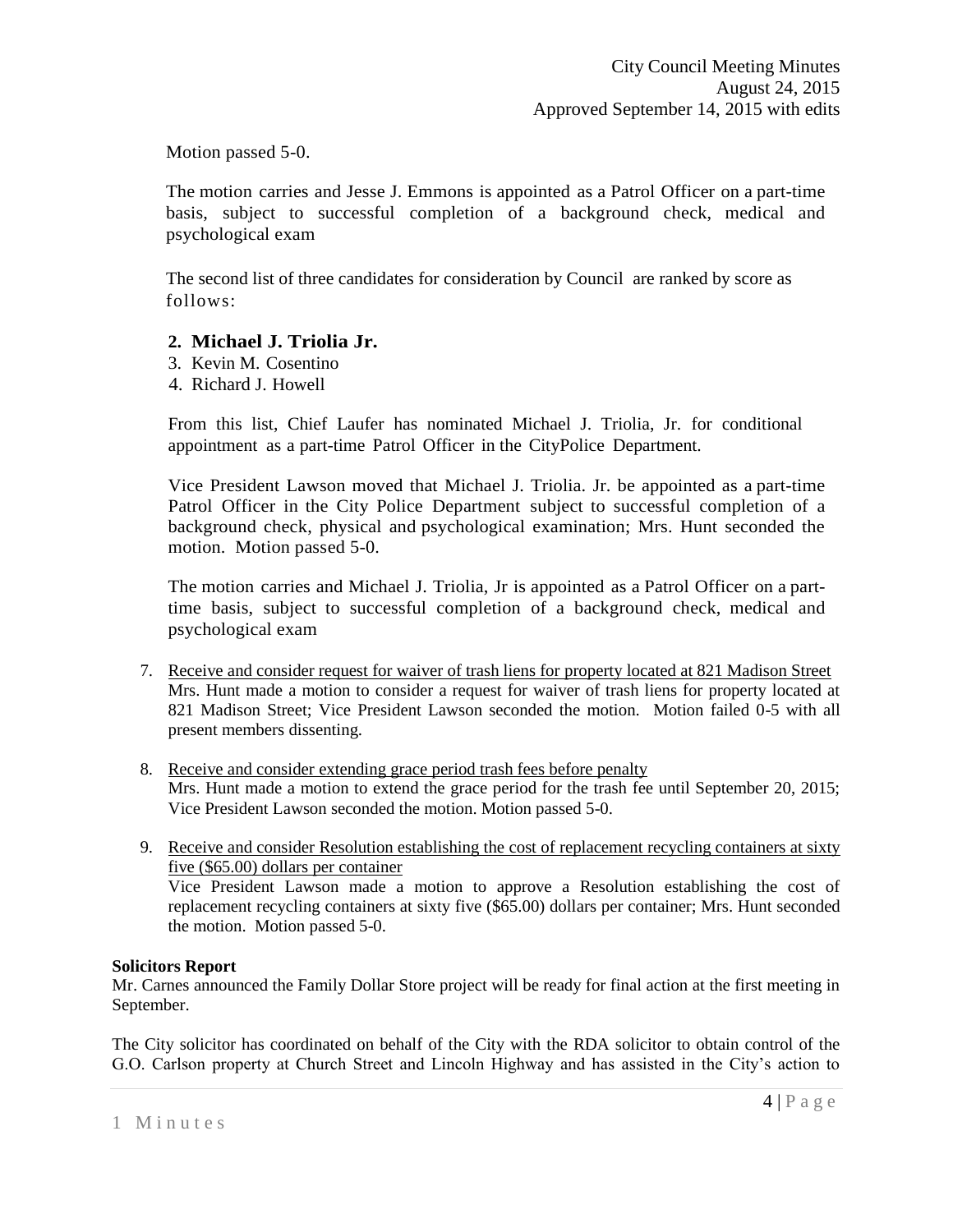Motion passed 5-0.

The motion carries and Jesse J. Emmons is appointed as a Patrol Officer on a part-time basis, subject to successful completion of a background check, medical and psychological exam

The second list of three candidates for consideration by Council are ranked by score as follows:

# **2. Michael J. Triolia Jr.**

- 3. Kevin M. Cosentino
- 4. Richard J. Howell

From this list, Chief Laufer has nominated Michael J. Triolia, Jr. for conditional appointment as a part-time Patrol Officer in the CityPolice Department.

Vice President Lawson moved that Michael J. Triolia. Jr. be appointed as a part-time Patrol Officer in the City Police Department subject to successful completion of a background check, physical and psychological examination; Mrs. Hunt seconded the motion. Motion passed 5-0.

The motion carries and Michael J. Triolia, Jr is appointed as a Patrol Officer on a parttime basis, subject to successful completion of a background check, medical and psychological exam

- 7. Receive and consider request for waiver of trash liens for property located at 821 Madison Street Mrs. Hunt made a motion to consider a request for waiver of trash liens for property located at 821 Madison Street; Vice President Lawson seconded the motion. Motion failed 0-5 with all present members dissenting.
- 8. Receive and consider extending grace period trash fees before penalty Mrs. Hunt made a motion to extend the grace period for the trash fee until September 20, 2015; Vice President Lawson seconded the motion. Motion passed 5-0.
- 9. Receive and consider Resolution establishing the cost of replacement recycling containers at sixty five (\$65.00) dollars per container Vice President Lawson made a motion to approve a Resolution establishing the cost of replacement recycling containers at sixty five (\$65.00) dollars per container; Mrs. Hunt seconded the motion. Motion passed 5-0.

# **Solicitors Report**

Mr. Carnes announced the Family Dollar Store project will be ready for final action at the first meeting in September.

The City solicitor has coordinated on behalf of the City with the RDA solicitor to obtain control of the G.O. Carlson property at Church Street and Lincoln Highway and has assisted in the City's action to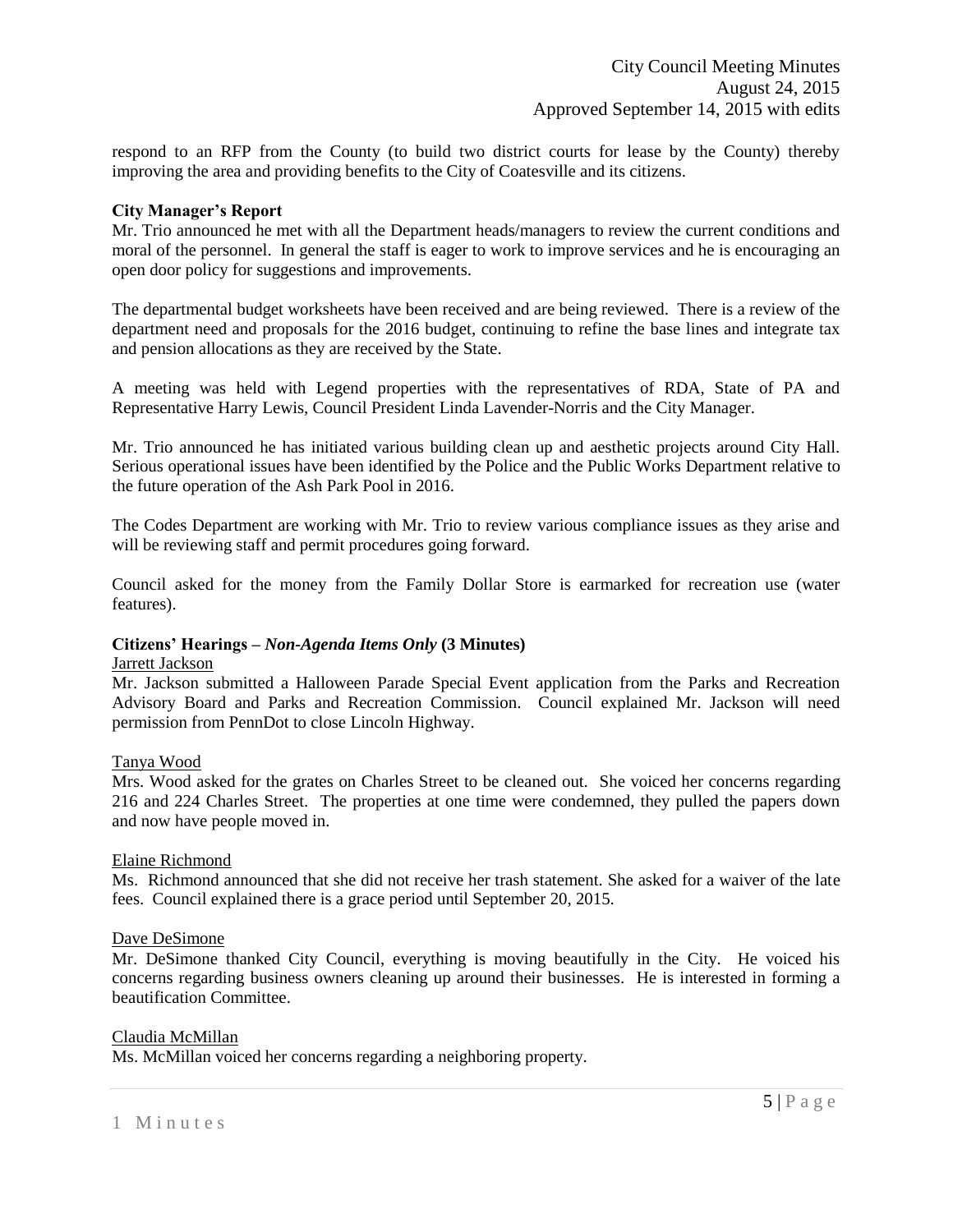respond to an RFP from the County (to build two district courts for lease by the County) thereby improving the area and providing benefits to the City of Coatesville and its citizens.

#### **City Manager's Report**

Mr. Trio announced he met with all the Department heads/managers to review the current conditions and moral of the personnel. In general the staff is eager to work to improve services and he is encouraging an open door policy for suggestions and improvements.

The departmental budget worksheets have been received and are being reviewed. There is a review of the department need and proposals for the 2016 budget, continuing to refine the base lines and integrate tax and pension allocations as they are received by the State.

A meeting was held with Legend properties with the representatives of RDA, State of PA and Representative Harry Lewis, Council President Linda Lavender-Norris and the City Manager.

Mr. Trio announced he has initiated various building clean up and aesthetic projects around City Hall. Serious operational issues have been identified by the Police and the Public Works Department relative to the future operation of the Ash Park Pool in 2016.

The Codes Department are working with Mr. Trio to review various compliance issues as they arise and will be reviewing staff and permit procedures going forward.

Council asked for the money from the Family Dollar Store is earmarked for recreation use (water features).

# **Citizens' Hearings –** *Non-Agenda Items Only* **(3 Minutes)**

## Jarrett Jackson

Mr. Jackson submitted a Halloween Parade Special Event application from the Parks and Recreation Advisory Board and Parks and Recreation Commission. Council explained Mr. Jackson will need permission from PennDot to close Lincoln Highway.

# Tanya Wood

Mrs. Wood asked for the grates on Charles Street to be cleaned out. She voiced her concerns regarding 216 and 224 Charles Street. The properties at one time were condemned, they pulled the papers down and now have people moved in.

#### Elaine Richmond

Ms. Richmond announced that she did not receive her trash statement. She asked for a waiver of the late fees. Council explained there is a grace period until September 20, 2015.

#### Dave DeSimone

Mr. DeSimone thanked City Council, everything is moving beautifully in the City. He voiced his concerns regarding business owners cleaning up around their businesses. He is interested in forming a beautification Committee.

#### Claudia McMillan

Ms. McMillan voiced her concerns regarding a neighboring property.